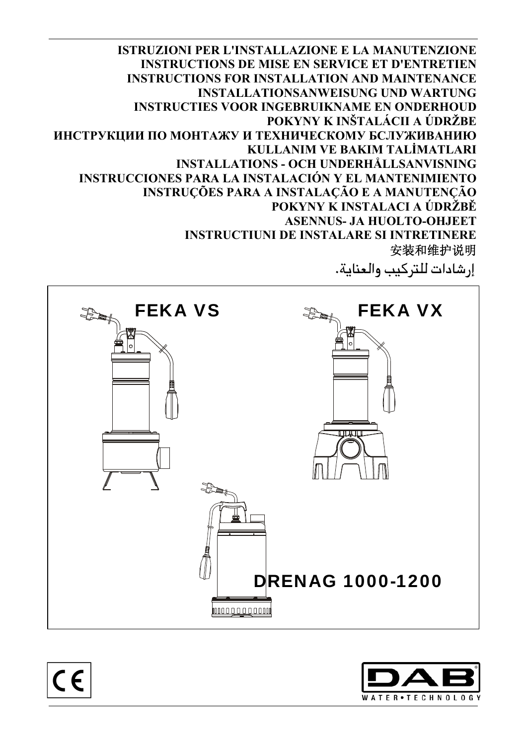**ISTRUZIONI PER L'INSTALLAZIONE E LA MANUTENZIONE INSTRUCTIONS DE MISE EN SERVICE ET D'ENTRETIEN INSTRUCTIONS FOR INSTALLATION AND MAINTENANCE INSTALLATIONSANWEISUNG UND WARTUNG INSTRUCTIES VOOR INGEBRUIKNAME EN ONDERHOUD POKYNY K INŠTALÁCII A ÚDRŽBE ИНСТРУКЦИИ ПО МОНТАЖУ И ТЕХНИЧЕСКОМУ БСЛУЖИВАНИЮ KULLANIM VE BAKIM TALİMATLARI INSTALLATIONS - OCH UNDERHÅLLSANVISNING INSTRUCCIONES PARA LA INSTALACIÓN Y EL MANTENIMIENTO INSTRUÇÕES PARA A INSTALAÇÃO E A MANUTENÇÃO POKYNY K INSTALACI A ÚDRŽBĚ ASENNUS- JA HUOLTO-OHJEET INSTRUCTIUNI DE INSTALARE SI INTRETINERE**  安装和维护说明

إرشادات للتركيب والعناية.



 $\epsilon$ 

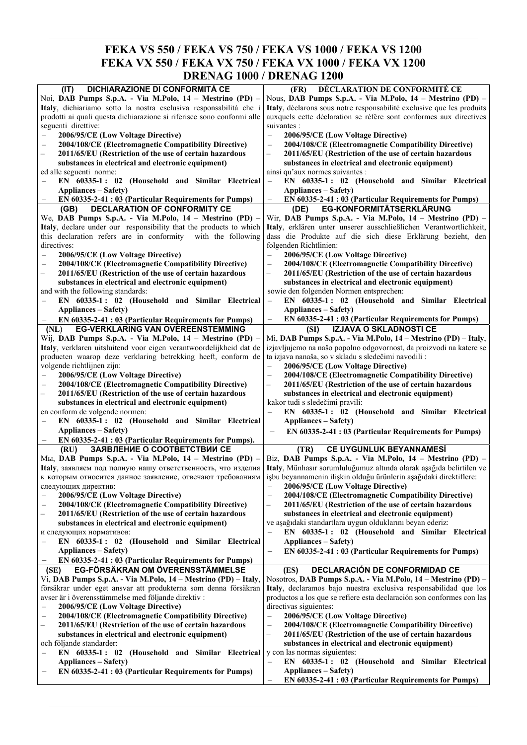## **FEKA VS 550 / FEKA VS 750 / FEKA VS 1000 / FEKA VS 1200 FEKA VX 550 / FEKA VX 750 / FEKA VX 1000 / FEKA VX 1200 DRENAG 1000 / DRENAG 1200**

| <b>DICHIARAZIONE DI CONFORMITÀ CE</b><br>(IT)                                                                                      | DÉCLARATION DE CONFORMITÉ CE<br>(FR)                                                |
|------------------------------------------------------------------------------------------------------------------------------------|-------------------------------------------------------------------------------------|
| Noi, DAB Pumps S.p.A. - Via M.Polo, 14 - Mestrino (PD) -                                                                           | Nous, DAB Pumps S.p.A. - Via M.Polo, 14 - Mestrino (PD) -                           |
|                                                                                                                                    |                                                                                     |
| Italy, dichiariamo sotto la nostra esclusiva responsabilità che i                                                                  | Italy, déclarons sous notre responsabilité exclusive que les produits               |
| prodotti ai quali questa dichiarazione si riferisce sono conformi alle                                                             | auxquels cette déclaration se réfère sont conformes aux directives                  |
| seguenti direttive:                                                                                                                | suivantes :                                                                         |
| 2006/95/CE (Low Voltage Directive)<br>$\qquad \qquad -$                                                                            | 2006/95/CE (Low Voltage Directive)<br>$\overline{\phantom{0}}$                      |
| 2004/108/CE (Electromagnetic Compatibility Directive)                                                                              | 2004/108/CE (Electromagnetic Compatibility Directive)<br>-                          |
|                                                                                                                                    |                                                                                     |
| 2011/65/EU (Restriction of the use of certain hazardous<br>-                                                                       | 2011/65/EU (Restriction of the use of certain hazardous                             |
| substances in electrical and electronic equipment)                                                                                 | substances in electrical and electronic equipment)                                  |
| ed alle seguenti norme:                                                                                                            | ainsi qu'aux normes suivantes :                                                     |
| EN 60335-1: 02 (Household and Similar Electrical                                                                                   | EN 60335-1: 02 (Household and Similar Electrical<br>$\qquad \qquad -$               |
|                                                                                                                                    |                                                                                     |
| <b>Appliances – Safety)</b>                                                                                                        | <b>Appliances – Safety)</b>                                                         |
| EN 60335-2-41 : 03 (Particular Requirements for Pumps)<br>$\overline{\phantom{m}}$                                                 | EN 60335-2-41 : 03 (Particular Requirements for Pumps)<br>$\overline{\phantom{0}}$  |
| DECLARATION OF CONFORMITY CE<br>(GB)                                                                                               | <b>EG-KONFORMITÄTSERKLÄRUNG</b><br>(DE)                                             |
| We, DAB Pumps S.p.A. - Via M.Polo, 14 - Mestrino (PD) -                                                                            | Wir, DAB Pumps S.p.A. - Via M.Polo, 14 - Mestrino (PD) -                            |
| Italy, declare under our responsibility that the products to which                                                                 | Italy, erklären unter unserer ausschließlichen Verantwortlichkeit,                  |
| this declaration refers are in conformity with the following                                                                       |                                                                                     |
|                                                                                                                                    | dass die Produkte auf die sich diese Erklärung bezieht, den                         |
| directives:                                                                                                                        | folgenden Richtlinien:                                                              |
| 2006/95/CE (Low Voltage Directive)                                                                                                 | 2006/95/CE (Low Voltage Directive)                                                  |
| 2004/108/CE (Electromagnetic Compatibility Directive)                                                                              | 2004/108/CE (Electromagnetic Compatibility Directive)                               |
| 2011/65/EU (Restriction of the use of certain hazardous<br>$\qquad \qquad -$                                                       | 2011/65/EU (Restriction of the use of certain hazardous<br>-                        |
| substances in electrical and electronic equipment)                                                                                 | substances in electrical and electronic equipment)                                  |
|                                                                                                                                    |                                                                                     |
| and with the following standards:                                                                                                  | sowie den folgenden Normen entsprechen:                                             |
| EN 60335-1: 02 (Household and Similar Electrical                                                                                   | EN 60335-1: 02 (Household and Similar Electrical<br>$\qquad \qquad -$               |
| <b>Appliances – Safety)</b>                                                                                                        | <b>Appliances – Safety)</b>                                                         |
| EN 60335-2-41 : 03 (Particular Requirements for Pumps)                                                                             | EN 60335-2-41 : 03 (Particular Requirements for Pumps)<br>$\qquad \qquad -$         |
|                                                                                                                                    |                                                                                     |
| <b>EG-VERKLARING VAN OVEREENSTEMMING</b><br>(NL)                                                                                   | <b>IZJAVA O SKLADNOSTI CE</b><br>(SI)                                               |
| Wij, DAB Pumps S.p.A. - Via M.Polo, 14 - Mestrino (PD) -                                                                           | Mi, DAB Pumps S.p.A. - Via M.Polo, 14 – Mestrino (PD) – Italy,                      |
| Italy, verklaren uitsluitend voor eigen verantwoordelijkheid dat de                                                                | izjavljujemo na našo popolno odgovornost, da proizvodi na katere se                 |
| producten waarop deze verklaring betrekking heeft, conform de                                                                      | ta izjava nanaša, so v skladu s sledečimi navodili:                                 |
| volgende richtlijnen zijn:                                                                                                         | 2006/95/CE (Low Voltage Directive)                                                  |
| 2006/95/CE (Low Voltage Directive)<br>$\overline{\phantom{0}}$                                                                     | 2004/108/CE (Electromagnetic Compatibility Directive)<br>$\overline{\phantom{0}}$   |
| 2004/108/CE (Electromagnetic Compatibility Directive)<br>$\qquad \qquad -$                                                         | 2011/65/EU (Restriction of the use of certain hazardous                             |
| 2011/65/EU (Restriction of the use of certain hazardous                                                                            | substances in electrical and electronic equipment)                                  |
|                                                                                                                                    |                                                                                     |
| substances in electrical and electronic equipment)                                                                                 | kakor tudi s sledečimi pravili:                                                     |
| en conform de volgende normen:                                                                                                     | EN 60335-1: 02 (Household and Similar Electrical                                    |
| EN 60335-1: 02 (Household and Similar Electrical<br>$\overline{\phantom{0}}$                                                       | <b>Appliances – Safety)</b>                                                         |
| <b>Appliances – Safety)</b>                                                                                                        | EN 60335-2-41 : 03 (Particular Requirements for Pumps)                              |
| EN 60335-2-41 : 03 (Particular Requirements for Pumps).                                                                            |                                                                                     |
| ЗАЯВЛЕНИЕ О СООТВЕТСТВИИ СЕ<br>(RU)                                                                                                | <b>CE UYGUNLUK BEYANNAMESİ</b><br>(TR)                                              |
|                                                                                                                                    |                                                                                     |
| Мы, DAB Pumps S.p.A. - Via M.Polo, 14 – Mestrino (PD) –                                                                            | Biz, DAB Pumps S.p.A. - Via M.Polo, 14 - Mestrino (PD) -                            |
| Italy, заявляем под полную нашу ответственность, что изделия   Italy, Münhasır sorumluluğumuz altında olarak aşağıda belirtilen ve |                                                                                     |
| к которым относится данное заявление, отвечают требованиям işbu beyannamenin ilişkin olduğu ürünlerin aşağıdaki direktiflere:      |                                                                                     |
| следующих директив:                                                                                                                | 2006/95/CE (Low Voltage Directive)                                                  |
| 2006/95/CE (Low Voltage Directive)<br>$\overline{\phantom{0}}$                                                                     | 2004/108/CE (Electromagnetic Compatibility Directive)<br>$\qquad \qquad -$          |
| 2004/108/CE (Electromagnetic Compatibility Directive)                                                                              | 2011/65/EU (Restriction of the use of certain hazardous<br>-                        |
| 2011/65/EU (Restriction of the use of certain hazardous<br>$\overline{\phantom{0}}$                                                | substances in electrical and electronic equipment)                                  |
|                                                                                                                                    |                                                                                     |
| substances in electrical and electronic equipment)                                                                                 | ve aşağıdaki standartlara uygun olduklarını beyan ederiz:                           |
| и следующих нормативов:                                                                                                            | EN 60335-1: 02 (Household and Similar Electrical                                    |
| EN 60335-1: 02 (Household and Similar Electrical                                                                                   | <b>Appliances – Safety)</b>                                                         |
| <b>Appliances – Safety)</b>                                                                                                        | EN 60335-2-41 : 03 (Particular Requirements for Pumps)                              |
| EN 60335-2-41 : 03 (Particular Requirements for Pumps)<br>$\overline{\phantom{m}}$                                                 |                                                                                     |
| <b>EG-FÖRSÄKRAN OM ÖVERENSSTÄMMELSE</b><br>(SE)                                                                                    | <b>DECLARACIÓN DE CONFORMIDAD CE</b><br>(ES)                                        |
|                                                                                                                                    |                                                                                     |
| Vi, DAB Pumps S.p.A. - Via M.Polo, 14 – Mestrino (PD) – Italy,                                                                     | Nosotros, DAB Pumps S.p.A. - Via M.Polo, 14 - Mestrino (PD) -                       |
| försäkrar under eget ansvar att produkterna som denna försäkran                                                                    | Italy, declaramos bajo nuestra exclusiva responsabilidad que los                    |
| avser är i överensstämmelse med följande direktiv :                                                                                | productos a los que se refiere esta declaración son conformes con las               |
| 2006/95/CE (Low Voltage Directive)<br>$\overline{\phantom{m}}$                                                                     | directivas siguientes:                                                              |
| 2004/108/CE (Electromagnetic Compatibility Directive)                                                                              | 2006/95/CE (Low Voltage Directive)<br>$-$                                           |
| 2011/65/EU (Restriction of the use of certain hazardous<br>$\overline{\phantom{0}}$                                                | 2004/108/CE (Electromagnetic Compatibility Directive)<br>$\overline{\phantom{m}}$   |
| substances in electrical and electronic equipment)                                                                                 | 2011/65/EU (Restriction of the use of certain hazardous<br>$\overline{\phantom{0}}$ |
|                                                                                                                                    |                                                                                     |
| och följande standarder:                                                                                                           | substances in electrical and electronic equipment)                                  |
| EN 60335-1: 02 (Household and Similar Electrical                                                                                   | y con las normas siguientes:                                                        |
| <b>Appliances – Safety)</b>                                                                                                        | EN 60335-1: 02 (Household and Similar Electrical<br>$\qquad \qquad -$               |
| EN 60335-2-41 : 03 (Particular Requirements for Pumps)                                                                             | <b>Appliances – Safety)</b>                                                         |
|                                                                                                                                    | EN 60335-2-41 : 03 (Particular Requirements for Pumps)<br>$\overline{\phantom{0}}$  |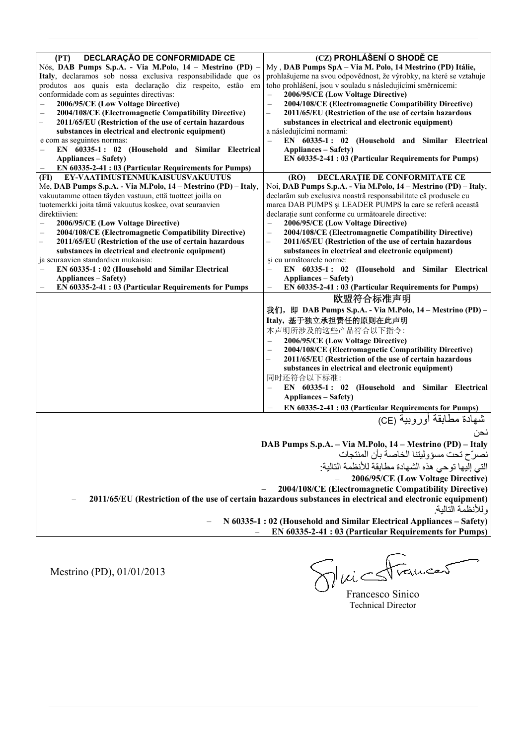| DECLARAÇÃO DE CONFORMIDADE CE<br>(PT)                                               | (CZ) PROHLÁŠENÍ O SHODĚ CE                                                                                 |  |
|-------------------------------------------------------------------------------------|------------------------------------------------------------------------------------------------------------|--|
| Nós, DAB Pumps S.p.A. - Via M.Polo, 14 - Mestrino (PD) -                            | My, DAB Pumps SpA - Via M. Polo, 14 Mestrino (PD) Itálie,                                                  |  |
| Italy, declaramos sob nossa exclusiva responsabilidade que os                       | prohlašujeme na svou odpovědnost, že výrobky, na které se vztahuje                                         |  |
| produtos aos quais esta declaração diz respeito, estão em                           | toho prohlášení, jsou v souladu s následujícími směrnicemi:                                                |  |
| conformidade com as seguintes directivas:                                           | 2006/95/CE (Low Voltage Directive)<br>$\qquad \qquad -$                                                    |  |
| 2006/95/CE (Low Voltage Directive)                                                  | 2004/108/CE (Electromagnetic Compatibility Directive)<br>$\qquad \qquad -$                                 |  |
| 2004/108/CE (Electromagnetic Compatibility Directive)                               | 2011/65/EU (Restriction of the use of certain hazardous                                                    |  |
| 2011/65/EU (Restriction of the use of certain hazardous<br>$\overline{\phantom{m}}$ | substances in electrical and electronic equipment)                                                         |  |
| substances in electrical and electronic equipment)                                  | a následujícími normami:                                                                                   |  |
| e com as seguintes normas:                                                          | EN 60335-1: 02 (Household and Similar Electrical                                                           |  |
| EN 60335-1: 02 (Household and Similar Electrical                                    | <b>Appliances - Safety)</b>                                                                                |  |
| <b>Appliances – Safety)</b>                                                         | EN 60335-2-41 : 03 (Particular Requirements for Pumps)                                                     |  |
| EN 60335-2-41 : 03 (Particular Requirements for Pumps)                              |                                                                                                            |  |
| EY-VAATIMUSTENMUKAISUUSVAKUUTUS<br>(FI)                                             | DECLARATIE DE CONFORMITATE CE<br>(RO)                                                                      |  |
| Me, DAB Pumps S.p.A. - Via M.Polo, 14 - Mestrino (PD) - Italy,                      | Noi, DAB Pumps S.p.A. - Via M.Polo, 14 - Mestrino (PD) - Italy,                                            |  |
| vakuutamme ottaen täyden vastuun, että tuotteet joilla on                           | declarăm sub exclusiva noastră responsabilitate că produsele cu                                            |  |
| tuotemerkki joita tämä vakuutus koskee, ovat seuraavien                             | marca DAB PUMPS și LEADER PUMPS la care se referă această                                                  |  |
| direktiivien:                                                                       | declarație sunt conforme cu următoarele directive:                                                         |  |
| 2006/95/CE (Low Voltage Directive)                                                  | 2006/95/CE (Low Voltage Directive)<br>$\overline{\phantom{0}}$                                             |  |
| 2004/108/CE (Electromagnetic Compatibility Directive)<br>$\overline{\phantom{0}}$   | 2004/108/CE (Electromagnetic Compatibility Directive)<br>$\overline{\phantom{0}}$                          |  |
| 2011/65/EU (Restriction of the use of certain hazardous<br>$\overline{\phantom{m}}$ | 2011/65/EU (Restriction of the use of certain hazardous<br>-                                               |  |
| substances in electrical and electronic equipment)                                  | substances in electrical and electronic equipment)                                                         |  |
| ja seuraavien standardien mukaisia:                                                 | și cu următoarele norme:                                                                                   |  |
| EN 60335-1:02 (Household and Similar Electrical                                     | EN 60335-1: 02 (Household and Similar Electrical                                                           |  |
| <b>Appliances – Safety)</b>                                                         | <b>Appliances - Safety)</b>                                                                                |  |
| EN 60335-2-41 : 03 (Particular Requirements for Pumps                               | EN 60335-2-41 : 03 (Particular Requirements for Pumps)                                                     |  |
|                                                                                     | 欧盟符合标准声明                                                                                                   |  |
|                                                                                     |                                                                                                            |  |
|                                                                                     | 我们, 即 DAB Pumps S.p.A. - Via M.Polo, 14 - Mestrino (PD) -                                                  |  |
|                                                                                     | Italy, 基于独立承担责任的原则在此声明                                                                                     |  |
|                                                                                     | 本声明所涉及的这些产品符合以下指令:                                                                                         |  |
|                                                                                     | 2006/95/CE (Low Voltage Directive)                                                                         |  |
|                                                                                     | 2004/108/CE (Electromagnetic Compatibility Directive)                                                      |  |
|                                                                                     | 2011/65/EU (Restriction of the use of certain hazardous                                                    |  |
|                                                                                     | substances in electrical and electronic equipment)                                                         |  |
|                                                                                     | 同时还符合以下标准:                                                                                                 |  |
|                                                                                     | EN 60335-1: 02 (Household and Similar Electrical                                                           |  |
|                                                                                     | <b>Appliances – Safety)</b>                                                                                |  |
|                                                                                     | EN 60335-2-41 : 03 (Particular Requirements for Pumps)                                                     |  |
|                                                                                     | شهادة مطابقة أوروبية (CE)                                                                                  |  |
|                                                                                     |                                                                                                            |  |
|                                                                                     |                                                                                                            |  |
|                                                                                     | DAB Pumps S.p.A. - Via M.Polo, 14 - Mestrino (PD) - Italy                                                  |  |
|                                                                                     | نصرّح تُحت مسؤوليتنا الخاصة بأن المنتجات                                                                   |  |
| التي إلَّيها توحي هذه الشهادة مطابقة للأنظمة التالية:                               |                                                                                                            |  |
| 2006/95/CE (Low Voltage Directive)                                                  |                                                                                                            |  |
| 2004/108/CE (Electromagnetic Compatibility Directive)                               |                                                                                                            |  |
|                                                                                     | 2011/65/EU (Restriction of the use of certain hazardous substances in electrical and electronic equipment) |  |
|                                                                                     | وللأنظمة التالية                                                                                           |  |
|                                                                                     | N 60335-1 : 02 (Household and Similar Electrical Appliances – Safety)                                      |  |
| EN 60335-2-41 : 03 (Particular Requirements for Pumps)                              |                                                                                                            |  |
|                                                                                     |                                                                                                            |  |

Mestrino (PD), 01/01/2013

Frances

Technical Director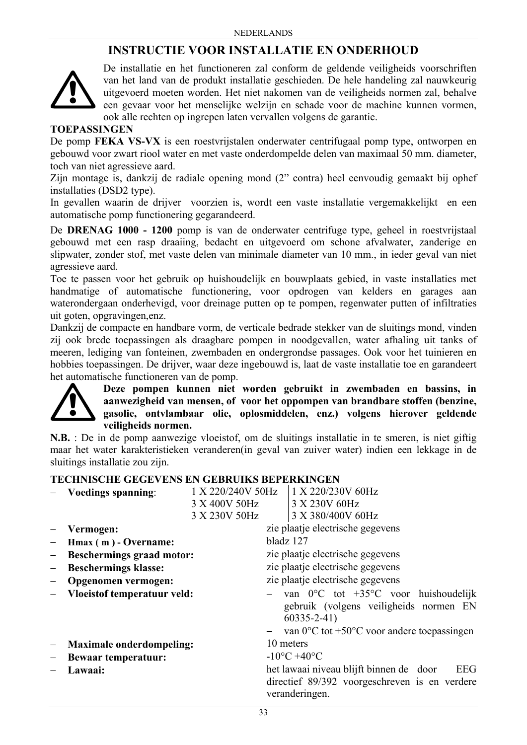## **INSTRUCTIE VOOR INSTALLATIE EN ONDERHOUD**



De installatie en het functioneren zal conform de geldende veiligheids voorschriften van het land van de produkt installatie geschieden. De hele handeling zal nauwkeurig uitgevoerd moeten worden. Het niet nakomen van de veiligheids normen zal, behalve een gevaar voor het menselijke welzijn en schade voor de machine kunnen vormen, ook alle rechten op ingrepen laten vervallen volgens de garantie.

## **TOEPASSINGEN**

De pomp **FEKA VS-VX** is een roestvrijstalen onderwater centrifugaal pomp type, ontworpen en gebouwd voor zwart riool water en met vaste onderdompelde delen van maximaal 50 mm. diameter, toch van niet agressieve aard.

Zijn montage is, dankzij de radiale opening mond (2" contra) heel eenvoudig gemaakt bij ophef installaties (DSD2 type).

In gevallen waarin de drijver voorzien is, wordt een vaste installatie vergemakkelijkt en een automatische pomp functionering gegarandeerd.

De **DRENAG 1000 - 1200** pomp is van de onderwater centrifuge type, geheel in roestvrijstaal gebouwd met een rasp draaiing, bedacht en uitgevoerd om schone afvalwater, zanderige en slipwater, zonder stof, met vaste delen van minimale diameter van 10 mm., in ieder geval van niet agressieve aard.

Toe te passen voor het gebruik op huishoudelijk en bouwplaats gebied, in vaste installaties met handmatige of automatische functionering, voor opdrogen van kelders en garages aan waterondergaan onderhevigd, voor dreinage putten op te pompen, regenwater putten of infiltraties uit goten, opgravingen,enz.

Dankzij de compacte en handbare vorm, de verticale bedrade stekker van de sluitings mond, vinden zij ook brede toepassingen als draagbare pompen in noodgevallen, water afhaling uit tanks of meeren, lediging van fonteinen, zwembaden en ondergrondse passages. Ook voor het tuinieren en hobbies toepassingen. De drijver, waar deze ingebouwd is, laat de vaste installatie toe en garandeert het automatische functioneren van de pomp.



**Deze pompen kunnen niet worden gebruikt in zwembaden en bassins, in aanwezigheid van mensen, of voor het oppompen van brandbare stoffen (benzine, gasolie, ontvlambaar olie, oplosmiddelen, enz.) volgens hierover geldende veiligheids normen.**

**N.B.** : De in de pomp aanwezige vloeistof, om de sluitings installatie in te smeren, is niet giftig maar het water karakteristieken veranderen(in geval van zuiver water) indien een lekkage in de sluitings installatie zou zijn.

## **TECHNISCHE GEGEVENS EN GEBRUIKS BEPERKINGEN**

| <b>Voedings spanning:</b>        | 1 X 220/240V 50Hz | 1 X 220/230V 60Hz                                                                                                 |
|----------------------------------|-------------------|-------------------------------------------------------------------------------------------------------------------|
|                                  | 3 X 400V 50Hz     | 3 X 230V 60Hz                                                                                                     |
|                                  | 3 X 230V 50Hz     | 3 X 380/400V 60Hz                                                                                                 |
| Vermogen:                        |                   | zie plaatje electrische gegevens                                                                                  |
| Hmax (m) - Overname:             |                   | bladz 127                                                                                                         |
| <b>Beschermings graad motor:</b> |                   | zie plaatje electrische gegevens                                                                                  |
| <b>Beschermings klasse:</b>      |                   | zie plaatje electrische gegevens                                                                                  |
| Opgenomen vermogen:              |                   | zie plaatje electrische gegevens                                                                                  |
| Vloeistof temperatuur veld:      |                   | van $0^{\circ}$ C tot +35°C voor huishoudelijk<br>gebruik (volgens veiligheids normen EN<br>$60335 - 2 - 41$      |
|                                  |                   | van $0^{\circ}$ C tot +50 $^{\circ}$ C voor andere toepassingen                                                   |
| <b>Maximale onderdompeling:</b>  |                   | 10 meters                                                                                                         |
| <b>Bewaar temperatuur:</b>       |                   | $-10^{\circ}$ C +40 $^{\circ}$ C                                                                                  |
| Lawaai:                          |                   | het lawaai niveau blijft binnen de door<br>EEG<br>directief 89/392 voorgeschreven is en verdere<br>veranderingen. |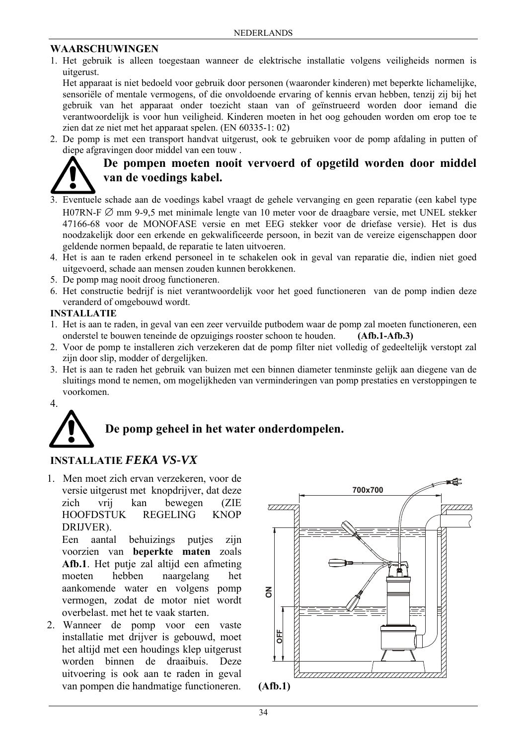## **WAARSCHUWINGEN**

1. Het gebruik is alleen toegestaan wanneer de elektrische installatie volgens veiligheids normen is uitgerust.

Het apparaat is niet bedoeld voor gebruik door personen (waaronder kinderen) met beperkte lichamelijke, sensoriële of mentale vermogens, of die onvoldoende ervaring of kennis ervan hebben, tenzij zij bij het gebruik van het apparaat onder toezicht staan van of geïnstrueerd worden door iemand die verantwoordelijk is voor hun veiligheid. Kinderen moeten in het oog gehouden worden om erop toe te zien dat ze niet met het apparaat spelen. (EN 60335-1: 02)

2. De pomp is met een transport handvat uitgerust, ook te gebruiken voor de pomp afdaling in putten of diepe afgravingen door middel van een touw .



## **De pompen moeten nooit vervoerd of opgetild worden door middel van de voedings kabel.**

- 3. Eventuele schade aan de voedings kabel vraagt de gehele vervanging en geen reparatie (een kabel type H07RN-F  $\varnothing$  mm 9-9,5 met minimale lengte van 10 meter voor de draagbare versie, met UNEL stekker 47166-68 voor de MONOFASE versie en met EEG stekker voor de driefase versie). Het is dus noodzakelijk door een erkende en gekwalificeerde persoon, in bezit van de vereize eigenschappen door geldende normen bepaald, de reparatie te laten uitvoeren.
- 4. Het is aan te raden erkend personeel in te schakelen ook in geval van reparatie die, indien niet goed uitgevoerd, schade aan mensen zouden kunnen berokkenen.
- 5. De pomp mag nooit droog functioneren.
- 6. Het constructie bedrijf is niet verantwoordelijk voor het goed functioneren van de pomp indien deze veranderd of omgebouwd wordt.

### **INSTALLATIE**

- 1. Het is aan te raden, in geval van een zeer vervuilde putbodem waar de pomp zal moeten functioneren, een onderstel te bouwen teneinde de opzuigings rooster schoon te houden. **(Afb.1-Afb.3)**
- 2. Voor de pomp te installeren zich verzekeren dat de pomp filter niet volledig of gedeeltelijk verstopt zal zijn door slip, modder of dergelijken.
- 3. Het is aan te raden het gebruik van buizen met een binnen diameter tenminste gelijk aan diegene van de sluitings mond te nemen, om mogelijkheden van verminderingen van pomp prestaties en verstoppingen te voorkomen.



# **De pomp geheel in het water onderdompelen.**

## **INSTALLATIE** *FEKA VS-VX*

1. Men moet zich ervan verzekeren, voor de versie uitgerust met knopdrijver, dat deze zich vrij kan bewegen (ZIE HOOFDSTUK REGELING KNOP DRIJVER).

Een aantal behuizings putjes zijn voorzien van **beperkte maten** zoals **Afb.1**. Het putje zal altijd een afmeting moeten hebben naargelang het aankomende water en volgens pomp vermogen, zodat de motor niet wordt overbelast. met het te vaak starten.

2. Wanneer de pomp voor een vaste installatie met drijver is gebouwd, moet het altijd met een houdings klep uitgerust worden binnen de draaibuis. Deze uitvoering is ook aan te raden in geval van pompen die handmatige functioneren. **(Afb.1)**

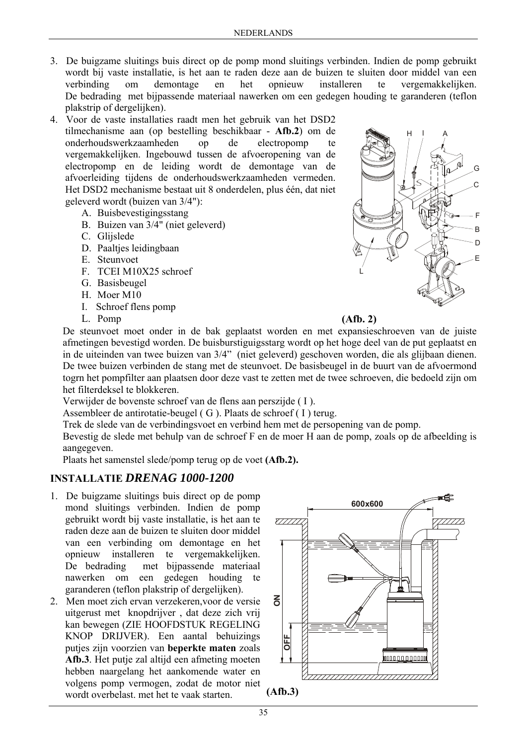- 3. De buigzame sluitings buis direct op de pomp mond sluitings verbinden. Indien de pomp gebruikt wordt bij vaste installatie, is het aan te raden deze aan de buizen te sluiten door middel van een verbinding om demontage en het opnieuw installeren te vergemakkelijken. De bedrading met bijpassende materiaal nawerken om een gedegen houding te garanderen (teflon plakstrip of dergelijken).
- 4. Voor de vaste installaties raadt men het gebruik van het DSD2 tilmechanisme aan (op bestelling beschikbaar - **Afb.2**) om de onderhoudswerkzaamheden op de electropomp te vergemakkelijken. Ingebouwd tussen de afvoeropening van de electropomp en de leiding wordt de demontage van de afvoerleiding tijdens de onderhoudswerkzaamheden vermeden. Het DSD2 mechanisme bestaat uit 8 onderdelen, plus één, dat niet geleverd wordt (buizen van 3/4"):
	- A. Buisbevestigingsstang
	- B. Buizen van 3/4" (niet geleverd)
	- C. Glijslede
	- D. Paaltjes leidingbaan
	- E. Steunvoet
	- F. TCEI M10X25 schroef
	- G. Basisbeugel
	- H. Moer M10
	- I. Schroef flens pomp
	- L. Pomp **(Afb. 2)**



De steunvoet moet onder in de bak geplaatst worden en met expansieschroeven van de juiste afmetingen bevestigd worden. De buisburstiguigsstarg wordt op het hoge deel van de put geplaatst en in de uiteinden van twee buizen van 3/4" (niet geleverd) geschoven worden, die als glijbaan dienen. De twee buizen verbinden de stang met de steunvoet. De basisbeugel in de buurt van de afvoermond togrn het pompfilter aan plaatsen door deze vast te zetten met de twee schroeven, die bedoeld zijn om het filterdeksel te blokkeren.

Verwijder de bovenste schroef van de flens aan perszijde ( I ).

Assembleer de antirotatie-beugel ( G ). Plaats de schroef ( I ) terug.

Trek de slede van de verbindingsvoet en verbind hem met de persopening van de pomp.

Bevestig de slede met behulp van de schroef F en de moer H aan de pomp, zoals op de afbeelding is aangegeven.

Plaats het samenstel slede/pomp terug op de voet **(Afb.2).**

### **INSTALLATIE** *DRENAG 1000-1200*

- 1. De buigzame sluitings buis direct op de pomp mond sluitings verbinden. Indien de pomp gebruikt wordt bij vaste installatie, is het aan te raden deze aan de buizen te sluiten door middel van een verbinding om demontage en het opnieuw installeren te vergemakkelijken. De bedrading met bijpassende materiaal nawerken om een gedegen houding te garanderen (teflon plakstrip of dergelijken).
- 2. Men moet zich ervan verzekeren,voor de versie uitgerust met knopdrijver , dat deze zich vrij kan bewegen (ZIE HOOFDSTUK REGELING KNOP DRIJVER). Een aantal behuizings putjes zijn voorzien van **beperkte maten** zoals **Afb.3**. Het putje zal altijd een afmeting moeten hebben naargelang het aankomende water en volgens pomp vermogen, zodat de motor niet wordt overbelast. met het te vaak starten. **(Afb.3)**



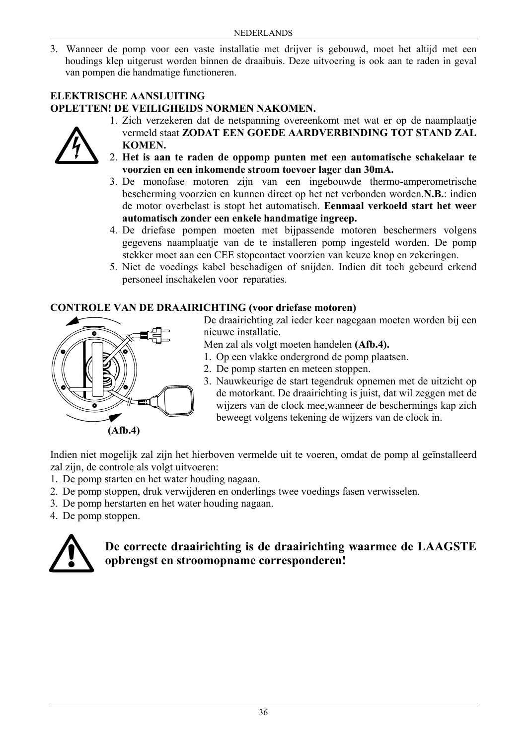3. Wanneer de pomp voor een vaste installatie met drijver is gebouwd, moet het altijd met een houdings klep uitgerust worden binnen de draaibuis. Deze uitvoering is ook aan te raden in geval van pompen die handmatige functioneren.

## **ELEKTRISCHE AANSLUITING OPLETTEN! DE VEILIGHEIDS NORMEN NAKOMEN.**



- 1. Zich verzekeren dat de netspanning overeenkomt met wat er op de naamplaatje vermeld staat **ZODAT EEN GOEDE AARDVERBINDING TOT STAND ZAL KOMEN.**
- 2. **Het is aan te raden de oppomp punten met een automatische schakelaar te voorzien en een inkomende stroom toevoer lager dan 30mA.**
- 3. De monofase motoren zijn van een ingebouwde thermo-amperometrische bescherming voorzien en kunnen direct op het net verbonden worden.**N.B.**: indien de motor overbelast is stopt het automatisch. **Eenmaal verkoeld start het weer automatisch zonder een enkele handmatige ingreep.**
- 4. De driefase pompen moeten met bijpassende motoren beschermers volgens gegevens naamplaatje van de te installeren pomp ingesteld worden. De pomp stekker moet aan een CEE stopcontact voorzien van keuze knop en zekeringen.
- 5. Niet de voedings kabel beschadigen of snijden. Indien dit toch gebeurd erkend personeel inschakelen voor reparaties.

## **CONTROLE VAN DE DRAAIRICHTING (voor driefase motoren)**

**(Afb.4)** 

De draairichting zal ieder keer nagegaan moeten worden bij een nieuwe installatie.

Men zal als volgt moeten handelen **(Afb.4).**

- 1. Op een vlakke ondergrond de pomp plaatsen.
- 2. De pomp starten en meteen stoppen.
- 3. Nauwkeurige de start tegendruk opnemen met de uitzicht op de motorkant. De draairichting is juist, dat wil zeggen met de wijzers van de clock mee,wanneer de beschermings kap zich beweegt volgens tekening de wijzers van de clock in.

Indien niet mogelijk zal zijn het hierboven vermelde uit te voeren, omdat de pomp al geïnstalleerd zal zijn, de controle als volgt uitvoeren:

- 1. De pomp starten en het water houding nagaan.
- 2. De pomp stoppen, druk verwijderen en onderlings twee voedings fasen verwisselen.
- 3. De pomp herstarten en het water houding nagaan.
- 4. De pomp stoppen.



## **De correcte draairichting is de draairichting waarmee de LAAGSTE opbrengst en stroomopname corresponderen!**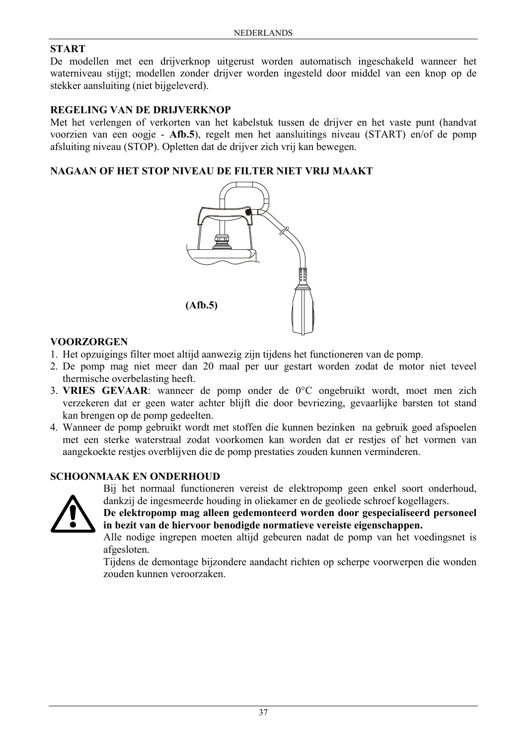## **START**

De modellen met een drijverknop uitgerust worden automatisch ingeschakeld wanneer het waterniveau stijgt; modellen zonder drijver worden ingesteld door middel van een knop op de stekker aansluiting (niet bijgeleverd).

## **REGELING VAN DE DRIJVERKNOP**

Met het verlengen of verkorten van het kabelstuk tussen de drijver en het vaste punt (handvat voorzien van een oogje - **Afb.5**), regelt men het aansluitings niveau (START) en/of de pomp afsluiting niveau (STOP). Opletten dat de drijver zich vrij kan bewegen.

## **NAGAAN OF HET STOP NIVEAU DE FILTER NIET VRIJ MAAKT**



## **VOORZORGEN**

- 1. Het opzuigings filter moet altijd aanwezig zijn tijdens het functioneren van de pomp.
- 2. De pomp mag niet meer dan 20 maal per uur gestart worden zodat de motor niet teveel thermische overbelasting heeft.
- 3. **VRIES GEVAAR**: wanneer de pomp onder de 0°C ongebruikt wordt, moet men zich verzekeren dat er geen water achter blijft die door bevriezing, gevaarlijke barsten tot stand kan brengen op de pomp gedeelten.
- 4. Wanneer de pomp gebruikt wordt met stoffen die kunnen bezinken na gebruik goed afspoelen met een sterke waterstraal zodat voorkomen kan worden dat er restjes of het vormen van aangekoekte restjes overblijven die de pomp prestaties zouden kunnen verminderen.

## **SCHOONMAAK EN ONDERHOUD**



Bij het normaal functioneren vereist de elektropomp geen enkel soort onderhoud, dankzij de ingesmeerde houding in oliekamer en de geoliede schroef kogellagers.

**De elektropomp mag alleen gedemonteerd worden door gespecialiseerd personeel in bezit van de hiervoor benodigde normatieve vereiste eigenschappen.** 

Alle nodige ingrepen moeten altijd gebeuren nadat de pomp van het voedingsnet is afgesloten.

Tijdens de demontage bijzondere aandacht richten op scherpe voorwerpen die wonden zouden kunnen veroorzaken.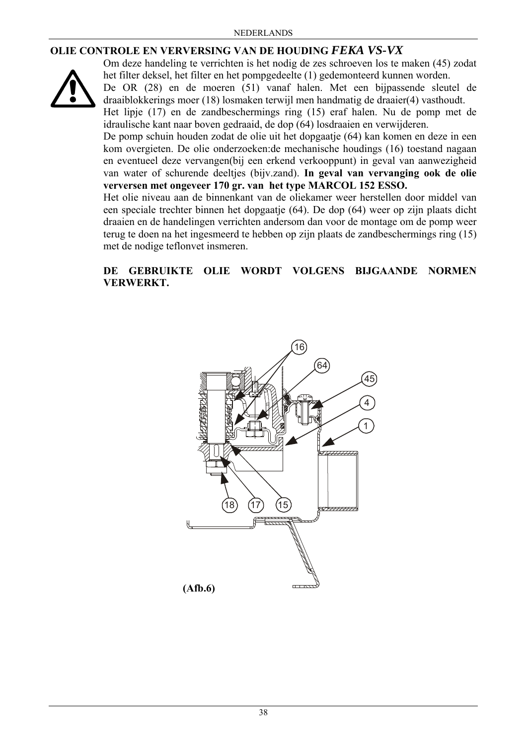## **OLIE CONTROLE EN VERVERSING VAN DE HOUDING** *FEKA VS-VX*



Om deze handeling te verrichten is het nodig de zes schroeven los te maken (45) zodat het filter deksel, het filter en het pompgedeelte (1) gedemonteerd kunnen worden.

De OR (28) en de moeren (51) vanaf halen. Met een bijpassende sleutel de draaiblokkerings moer (18) losmaken terwijl men handmatig de draaier(4) vasthoudt.

Het lipje (17) en de zandbeschermings ring (15) eraf halen. Nu de pomp met de idraulische kant naar boven gedraaid, de dop (64) losdraaien en verwijderen.

De pomp schuin houden zodat de olie uit het dopgaatje (64) kan komen en deze in een kom overgieten. De olie onderzoeken:de mechanische houdings (16) toestand nagaan en eventueel deze vervangen(bij een erkend verkooppunt) in geval van aanwezigheid van water of schurende deeltjes (bijv.zand). **In geval van vervanging ook de olie verversen met ongeveer 170 gr. van het type MARCOL 152 ESSO.** 

Het olie niveau aan de binnenkant van de oliekamer weer herstellen door middel van een speciale trechter binnen het dopgaatje (64). De dop (64) weer op zijn plaats dicht draaien en de handelingen verrichten andersom dan voor de montage om de pomp weer terug te doen na het ingesmeerd te hebben op zijn plaats de zandbeschermings ring (15) met de nodige teflonvet insmeren.

**DE GEBRUIKTE OLIE WORDT VOLGENS BIJGAANDE NORMEN VERWERKT.**



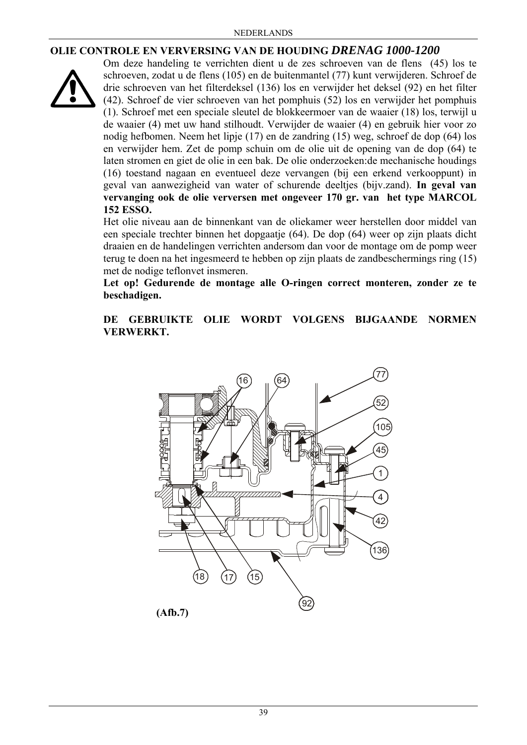## **OLIE CONTROLE EN VERVERSING VAN DE HOUDING** *DRENAG 1000-1200*



Om deze handeling te verrichten dient u de zes schroeven van de flens (45) los te schroeven, zodat u de flens (105) en de buitenmantel (77) kunt verwijderen. Schroef de drie schroeven van het filterdeksel (136) los en verwijder het deksel (92) en het filter (42). Schroef de vier schroeven van het pomphuis (52) los en verwijder het pomphuis (1). Schroef met een speciale sleutel de blokkeermoer van de waaier (18) los, terwijl u de waaier (4) met uw hand stilhoudt. Verwijder de waaier (4) en gebruik hier voor zo nodig hefbomen. Neem het lipje (17) en de zandring (15) weg, schroef de dop (64) los en verwijder hem. Zet de pomp schuin om de olie uit de opening van de dop (64) te laten stromen en giet de olie in een bak. De olie onderzoeken:de mechanische houdings (16) toestand nagaan en eventueel deze vervangen (bij een erkend verkooppunt) in geval van aanwezigheid van water of schurende deeltjes (bijv.zand). **In geval van vervanging ook de olie verversen met ongeveer 170 gr. van het type MARCOL 152 ESSO.** 

Het olie niveau aan de binnenkant van de oliekamer weer herstellen door middel van een speciale trechter binnen het dopgaatje (64). De dop (64) weer op zijn plaats dicht draaien en de handelingen verrichten andersom dan voor de montage om de pomp weer terug te doen na het ingesmeerd te hebben op zijn plaats de zandbeschermings ring (15) met de nodige teflonvet insmeren.

**Let op! Gedurende de montage alle O-ringen correct monteren, zonder ze te beschadigen.**

## **DE GEBRUIKTE OLIE WORDT VOLGENS BIJGAANDE NORMEN VERWERKT.**